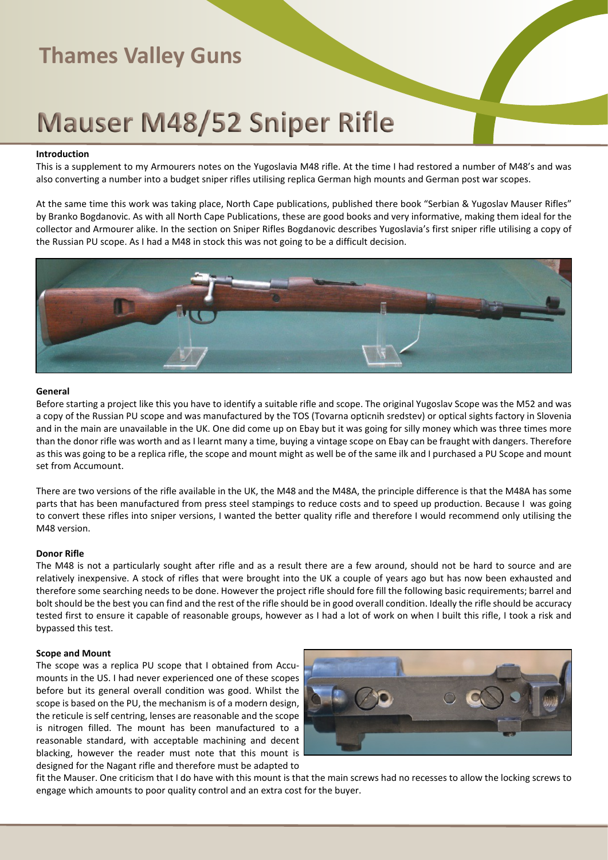# **Mauser M48/52 Sniper Rifle**

#### **Introduction**

This is a supplement to my Armourers notes on the Yugoslavia M48 rifle. At the time I had restored a number of M48's and was also converting a number into a budget sniper rifles utilising replica German high mounts and German post war scopes.

At the same time this work was taking place, North Cape publications, published there book "Serbian & Yugoslav Mauser Rifles" by Branko Bogdanovic. As with all North Cape Publications, these are good books and very informative, making them ideal for the collector and Armourer alike. In the section on Sniper Rifles Bogdanovic describes Yugoslavia's first sniper rifle utilising a copy of the Russian PU scope. As I had a M48 in stock this was not going to be a difficult decision.



#### **General**

Before starting a project like this you have to identify a suitable rifle and scope. The original Yugoslav Scope was the M52 and was a copy of the Russian PU scope and was manufactured by the TOS (Tovarna opticnih sredstev) or optical sights factory in Slovenia and in the main are unavailable in the UK. One did come up on Ebay but it was going for silly money which was three times more than the donor rifle was worth and as I learnt many a time, buying a vintage scope on Ebay can be fraught with dangers. Therefore as this was going to be a replica rifle, the scope and mount might as well be of the same ilk and I purchased a PU Scope and mount set from Accumount.

There are two versions of the rifle available in the UK, the M48 and the M48A, the principle difference is that the M48A has some parts that has been manufactured from press steel stampings to reduce costs and to speed up production. Because I was going to convert these rifles into sniper versions, I wanted the better quality rifle and therefore I would recommend only utilising the M48 version.

#### **Donor Rifle**

The M48 is not a particularly sought after rifle and as a result there are a few around, should not be hard to source and are relatively inexpensive. A stock of rifles that were brought into the UK a couple of years ago but has now been exhausted and therefore some searching needs to be done. However the project rifle should fore fill the following basic requirements; barrel and bolt should be the best you can find and the rest of the rifle should be in good overall condition. Ideally the rifle should be accuracy tested first to ensure it capable of reasonable groups, however as I had a lot of work on when I built this rifle, I took a risk and bypassed this test.

#### **Scope and Mount**

The scope was a replica PU scope that I obtained from Accumounts in the US. I had never experienced one of these scopes before but its general overall condition was good. Whilst the scope is based on the PU, the mechanism is of a modern design, the reticule is self centring, lenses are reasonable and the scope is nitrogen filled. The mount has been manufactured to a reasonable standard, with acceptable machining and decent blacking, however the reader must note that this mount is designed for the Nagant rifle and therefore must be adapted to



fit the Mauser. One criticism that I do have with this mount is that the main screws had no recesses to allow the locking screws to engage which amounts to poor quality control and an extra cost for the buyer.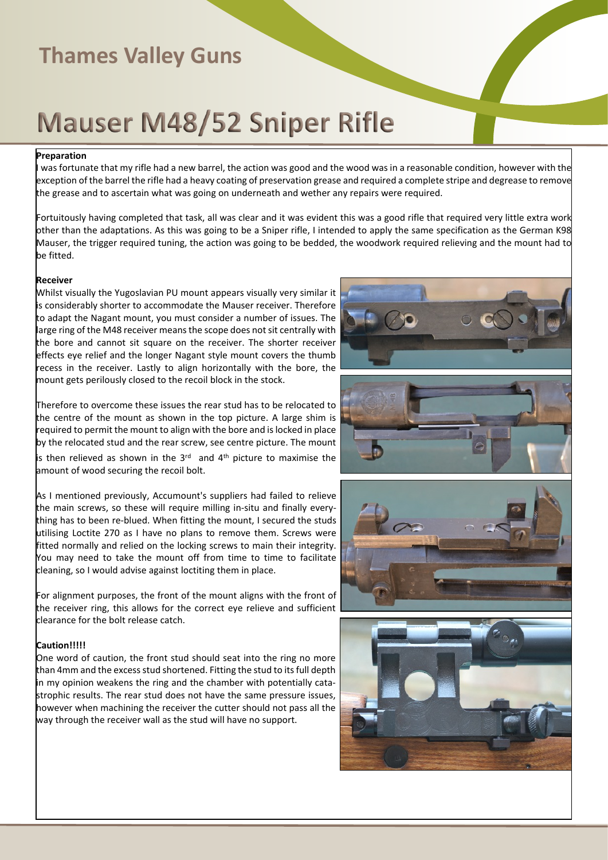# **Mauser M48/52 Sniper Rifle**

### **Preparation**

was fortunate that my rifle had a new barrel, the action was good and the wood was in a reasonable condition, however with the exception of the barrel the rifle had a heavy coating of preservation grease and required a complete stripe and degrease to remove the grease and to ascertain what was going on underneath and wether any repairs were required.

Fortuitously having completed that task, all was clear and it was evident this was a good rifle that required very little extra work other than the adaptations. As this was going to be a Sniper rifle, I intended to apply the same specification as the German K98 Mauser, the trigger required tuning, the action was going to be bedded, the woodwork required relieving and the mount had to be fitted.

#### **Receiver**

Whilst visually the Yugoslavian PU mount appears visually very similar it is considerably shorter to accommodate the Mauser receiver. Therefore to adapt the Nagant mount, you must consider a number of issues. The large ring of the M48 receiver means the scope does not sit centrally with the bore and cannot sit square on the receiver. The shorter receiver effects eye relief and the longer Nagant style mount covers the thumb recess in the receiver. Lastly to align horizontally with the bore, the mount gets perilously closed to the recoil block in the stock.

Therefore to overcome these issues the rear stud has to be relocated to the centre of the mount as shown in the top picture. A large shim is required to permit the mount to align with the bore and is locked in place by the relocated stud and the rear screw, see centre picture. The mount

is then relieved as shown in the 3<sup>rd</sup> and 4<sup>th</sup> picture to maximise the amount of wood securing the recoil bolt.

As I mentioned previously, Accumount's suppliers had failed to relieve the main screws, so these will require milling in-situ and finally everything has to been re-blued. When fitting the mount, I secured the studs utilising Loctite 270 as I have no plans to remove them. Screws were fitted normally and relied on the locking screws to main their integrity. You may need to take the mount off from time to time to facilitate cleaning, so I would advise against loctiting them in place.

For alignment purposes, the front of the mount aligns with the front of the receiver ring, this allows for the correct eye relieve and sufficient clearance for the bolt release catch.

### **Caution!!!!!**

One word of caution, the front stud should seat into the ring no more than 4mm and the excess stud shortened. Fitting the stud to its full depth in my opinion weakens the ring and the chamber with potentially catastrophic results. The rear stud does not have the same pressure issues, however when machining the receiver the cutter should not pass all the way through the receiver wall as the stud will have no support.







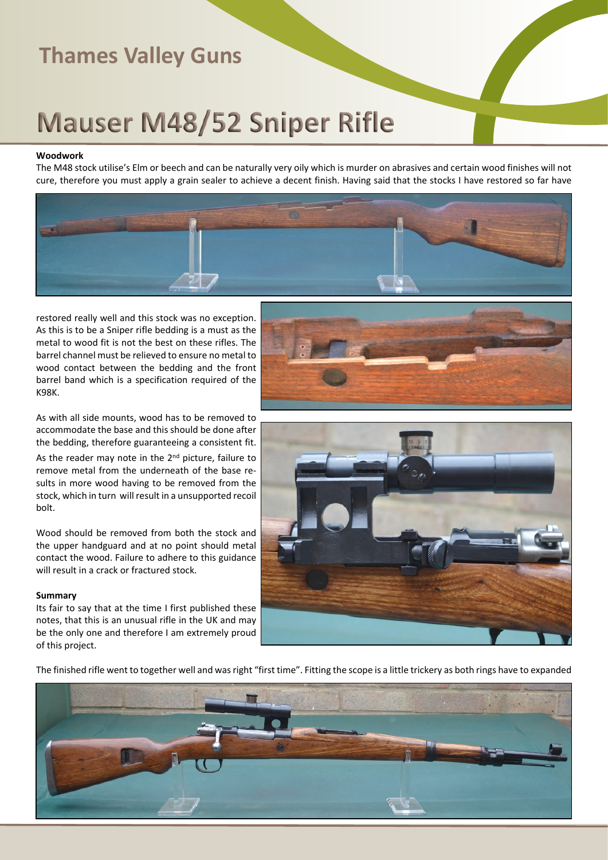# **Mauser M48/52 Sniper Rifle**

#### **Woodwork**

The M48 stock utilise's Elm or beech and can be naturally very oily which is murder on abrasives and certain wood finishes will not cure, therefore you must apply a grain sealer to achieve a decent finish. Having said that the stocks I have restored so far have



restored really well and this stock was no exception. As this is to be a Sniper rifle bedding is a must as the metal to wood fit is not the best on these rifles. The barrel channel must be relieved to ensure no metal to wood contact between the bedding and the front barrel band which is a specification required of the K98K.

As with all side mounts, wood has to be removed to accommodate the base and this should be done after the bedding, therefore guaranteeing a consistent fit.

As the reader may note in the 2<sup>nd</sup> picture, failure to remove metal from the underneath of the base results in more wood having to be removed from the stock, which in turn will result in a unsupported recoil bolt.

Wood should be removed from both the stock and the upper handguard and at no point should metal contact the wood. Failure to adhere to this guidance will result in a crack or fractured stock.

#### **Summary**

Its fair to say that at the time I first published these notes, that this is an unusual rifle in the UK and may be the only one and therefore I am extremely proud of this project.





The finished rifle went to together well and was right "first time". Fitting the scope is a little trickery as both rings have to expanded